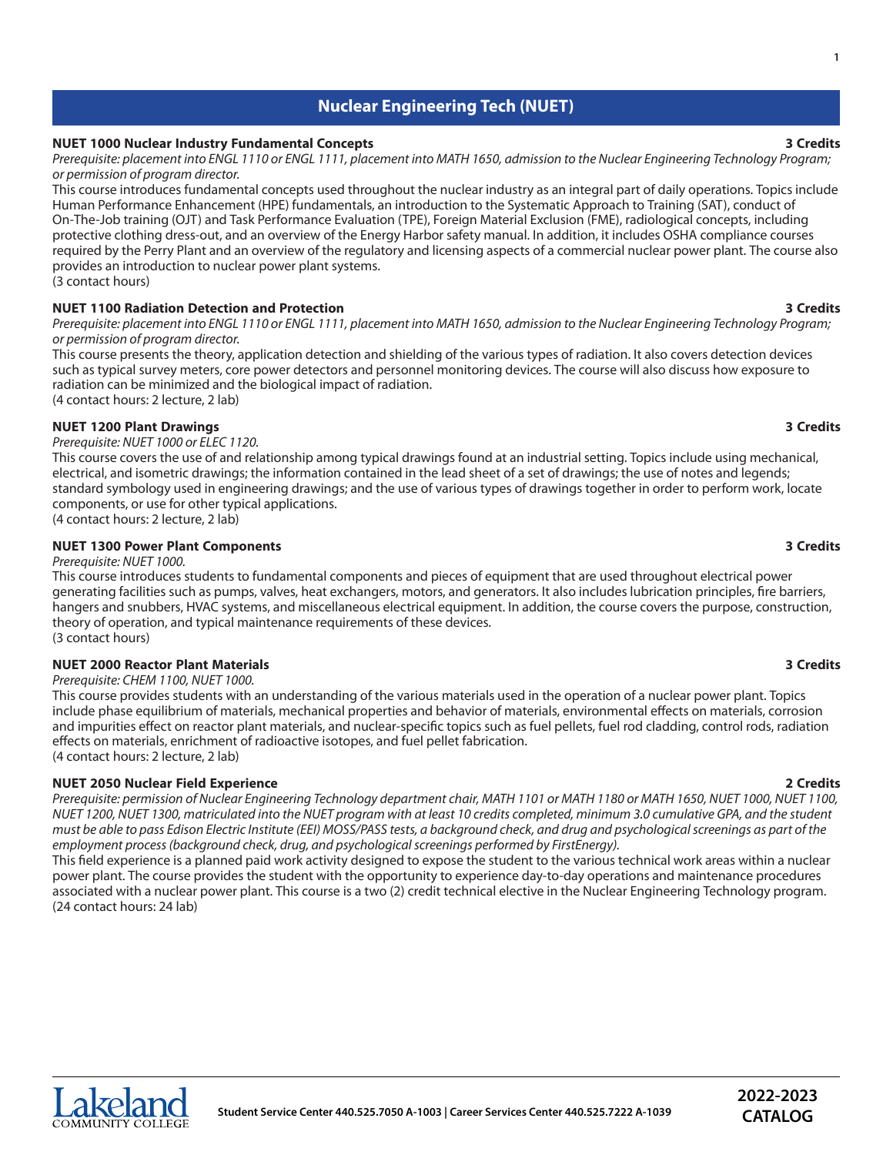# **Nuclear Engineering Tech (NUET)**

# **NUET 1000 Nuclear Industry Fundamental Concepts 3 Credits**

Prerequisite: placement into ENGL 1110 or ENGL 1111, placement into MATH 1650, admission to the Nuclear Engineering Technology Program; *or permission of program director.*

This course introduces fundamental concepts used throughout the nuclear industry as an integral part of daily operations. Topics include Human Performance Enhancement (HPE) fundamentals, an introduction to the Systematic Approach to Training (SAT), conduct of On-The-Job training (OJT) and Task Performance Evaluation (TPE), Foreign Material Exclusion (FME), radiological concepts, including protective clothing dress-out, and an overview of the Energy Harbor safety manual. In addition, it includes OSHA compliance courses required by the Perry Plant and an overview of the regulatory and licensing aspects of a commercial nuclear power plant. The course also provides an introduction to nuclear power plant systems. (3 contact hours)

**NUET 1100 Radiation Detection and Protection 3 Credits**

Prerequisite: placement into ENGL 1110 or ENGL 1111, placement into MATH 1650, admission to the Nuclear Engineering Technology Program; *or permission of program director.*

This course presents the theory, application detection and shielding of the various types of radiation. It also covers detection devices such as typical survey meters, core power detectors and personnel monitoring devices. The course will also discuss how exposure to radiation can be minimized and the biological impact of radiation. (4 contact hours: 2 lecture, 2 lab)

# **NUET 1200 Plant Drawings 3 Credits**

*Prerequisite: NUET 1000 or ELEC 1120.*

This course covers the use of and relationship among typical drawings found at an industrial setting. Topics include using mechanical, electrical, and isometric drawings; the information contained in the lead sheet of a set of drawings; the use of notes and legends; standard symbology used in engineering drawings; and the use of various types of drawings together in order to perform work, locate components, or use for other typical applications.

(4 contact hours: 2 lecture, 2 lab)

### **NUET 1300 Power Plant Components 3 Credits**

### *Prerequisite: NUET 1000.*

This course introduces students to fundamental components and pieces of equipment that are used throughout electrical power generating facilities such as pumps, valves, heat exchangers, motors, and generators. It also includes lubrication principles, fire barriers, hangers and snubbers, HVAC systems, and miscellaneous electrical equipment. In addition, the course covers the purpose, construction, theory of operation, and typical maintenance requirements of these devices. (3 contact hours)

### **NUET 2000 Reactor Plant Materials 3 Credits**

*Prerequisite: CHEM 1100, NUET 1000.*

This course provides students with an understanding of the various materials used in the operation of a nuclear power plant. Topics include phase equilibrium of materials, mechanical properties and behavior of materials, environmental effects on materials, corrosion and impurities effect on reactor plant materials, and nuclear-specific topics such as fuel pellets, fuel rod cladding, control rods, radiation effects on materials, enrichment of radioactive isotopes, and fuel pellet fabrication. (4 contact hours: 2 lecture, 2 lab)

# **NUET 2050 Nuclear Field Experience 2 Credits**

Prerequisite: permission of Nuclear Engineering Technology department chair, MATH 1101 or MATH 1180 or MATH 1650, NUET 1000, NUET 1100, NUET 1200, NUET 1300, matriculated into the NUET program with at least 10 credits completed, minimum 3.0 cumulative GPA, and the student must be able to pass Edison Electric Institute (EEI) MOSS/PASS tests, a background check, and drug and psychological screenings as part of the *employment process(background check, drug, and psychologicalscreenings performed by FirstEnergy).*

This field experience is a planned paid work activity designed to expose the student to the various technical work areas within a nuclear power plant. The course provides the student with the opportunity to experience day-to-day operations and maintenance procedures associated with a nuclear power plant. This course is a two (2) credit technical elective in the Nuclear Engineering Technology program. (24 contact hours: 24 lab)



# **2022-2023 CATALOG**